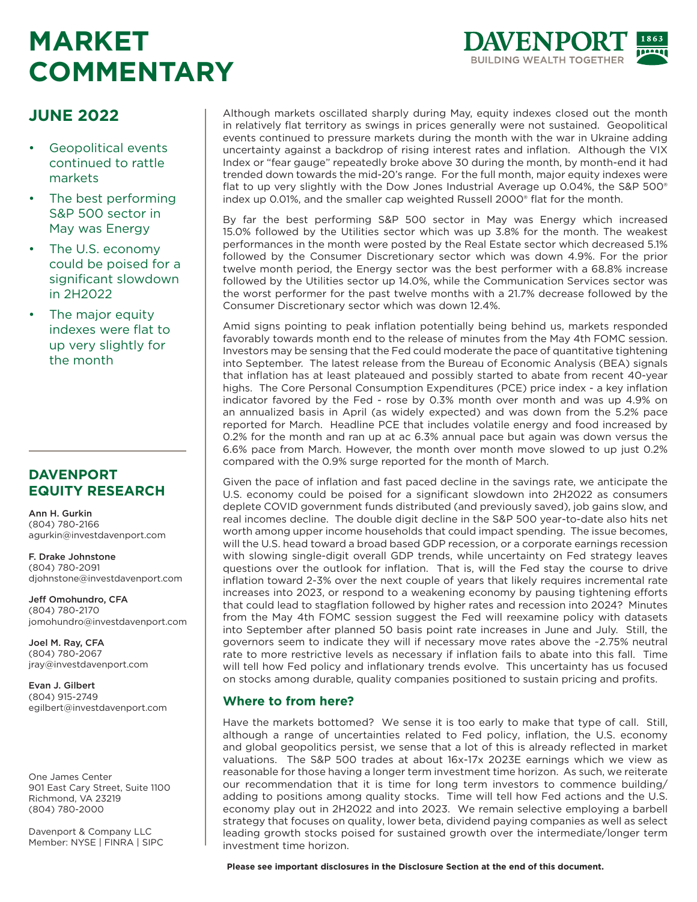# **MARKET COMMENTARY**



# **JUNE 2022**

- Geopolitical events continued to rattle markets
- The best performing S&P 500 sector in May was Energy
- The U.S. economy could be poised for a significant slowdown in 2H2022
- The major equity indexes were flat to up very slightly for the month

### **DAVENPORT EQUITY RESEARCH**

Ann H. Gurkin (804) 780-2166 agurkin@investdavenport.com

F. Drake Johnstone (804) 780-2091 djohnstone@investdavenport.com

Jeff Omohundro, CFA (804) 780-2170 jomohundro@investdavenport.com

Joel M. Ray, CFA (804) 780-2067 jray@investdavenport.com

Evan J. Gilbert (804) 915-2749 egilbert@investdavenport.com

One James Center 901 East Cary Street, Suite 1100 Richmond, VA 23219 (804) 780-2000

Davenport & Company LLC Member: NYSE | FINRA | SIPC Although markets oscillated sharply during May, equity indexes closed out the month in relatively flat territory as swings in prices generally were not sustained. Geopolitical events continued to pressure markets during the month with the war in Ukraine adding uncertainty against a backdrop of rising interest rates and inflation. Although the VIX Index or "fear gauge" repeatedly broke above 30 during the month, by month-end it had trended down towards the mid-20's range. For the full month, major equity indexes were flat to up very slightly with the Dow Jones Industrial Average up 0.04%, the S&P 500® index up 0.01%, and the smaller cap weighted Russell 2000® flat for the month.

By far the best performing S&P 500 sector in May was Energy which increased 15.0% followed by the Utilities sector which was up 3.8% for the month. The weakest performances in the month were posted by the Real Estate sector which decreased 5.1% followed by the Consumer Discretionary sector which was down 4.9%. For the prior twelve month period, the Energy sector was the best performer with a 68.8% increase followed by the Utilities sector up 14.0%, while the Communication Services sector was the worst performer for the past twelve months with a 21.7% decrease followed by the Consumer Discretionary sector which was down 12.4%.

Amid signs pointing to peak inflation potentially being behind us, markets responded favorably towards month end to the release of minutes from the May 4th FOMC session. Investors may be sensing that the Fed could moderate the pace of quantitative tightening into September. The latest release from the Bureau of Economic Analysis (BEA) signals that inflation has at least plateaued and possibly started to abate from recent 40-year highs. The Core Personal Consumption Expenditures (PCE) price index - a key inflation indicator favored by the Fed - rose by 0.3% month over month and was up 4.9% on an annualized basis in April (as widely expected) and was down from the 5.2% pace reported for March. Headline PCE that includes volatile energy and food increased by 0.2% for the month and ran up at ac 6.3% annual pace but again was down versus the 6.6% pace from March. However, the month over month move slowed to up just 0.2% compared with the 0.9% surge reported for the month of March.

Given the pace of inflation and fast paced decline in the savings rate, we anticipate the U.S. economy could be poised for a significant slowdown into 2H2022 as consumers deplete COVID government funds distributed (and previously saved), job gains slow, and real incomes decline. The double digit decline in the S&P 500 year-to-date also hits net worth among upper income households that could impact spending. The issue becomes, will the U.S. head toward a broad based GDP recession, or a corporate earnings recession with slowing single-digit overall GDP trends, while uncertainty on Fed strategy leaves questions over the outlook for inflation. That is, will the Fed stay the course to drive inflation toward 2-3% over the next couple of years that likely requires incremental rate increases into 2023, or respond to a weakening economy by pausing tightening efforts that could lead to stagflation followed by higher rates and recession into 2024? Minutes from the May 4th FOMC session suggest the Fed will reexamine policy with datasets into September after planned 50 basis point rate increases in June and July. Still, the governors seem to indicate they will if necessary move rates above the ~2.75% neutral rate to more restrictive levels as necessary if inflation fails to abate into this fall. Time will tell how Fed policy and inflationary trends evolve. This uncertainty has us focused on stocks among durable, quality companies positioned to sustain pricing and profits.

### **Where to from here?**

Have the markets bottomed? We sense it is too early to make that type of call. Still, although a range of uncertainties related to Fed policy, inflation, the U.S. economy and global geopolitics persist, we sense that a lot of this is already reflected in market valuations. The S&P 500 trades at about 16x-17x 2023E earnings which we view as reasonable for those having a longer term investment time horizon. As such, we reiterate our recommendation that it is time for long term investors to commence building/ adding to positions among quality stocks. Time will tell how Fed actions and the U.S. economy play out in 2H2022 and into 2023. We remain selective employing a barbell strategy that focuses on quality, lower beta, dividend paying companies as well as select leading growth stocks poised for sustained growth over the intermediate/longer term investment time horizon.

**Please see important disclosures in the Disclosure Section at the end of this document.**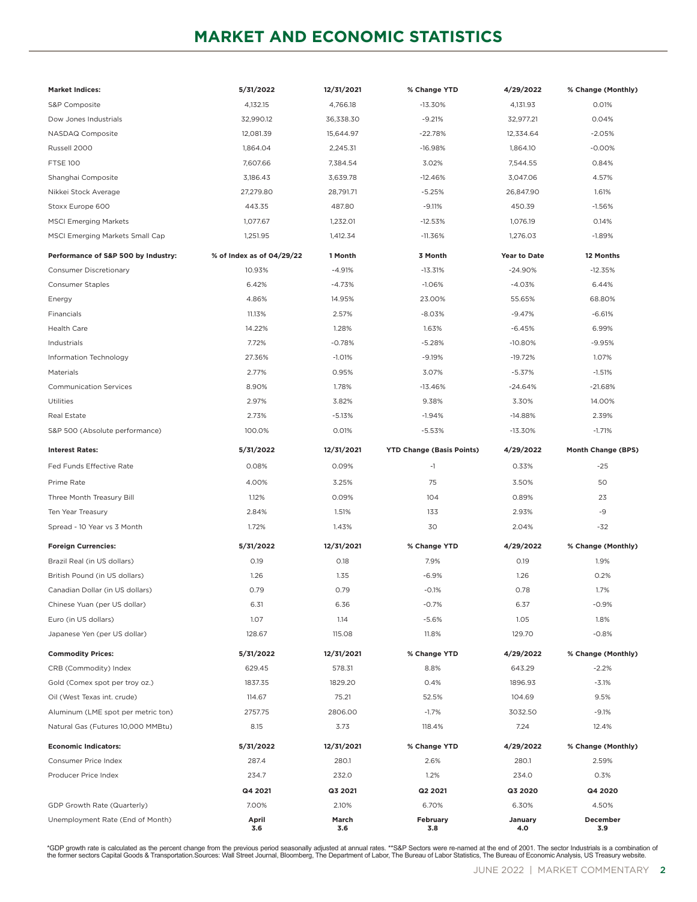# **MARKET AND ECONOMIC STATISTICS**

| <b>Market Indices:</b>              | 5/31/2022                 | 12/31/2021   | % Change YTD                     | 4/29/2022      | % Change (Monthly) |
|-------------------------------------|---------------------------|--------------|----------------------------------|----------------|--------------------|
| S&P Composite                       | 4,132.15                  | 4,766.18     | $-13.30%$                        | 4,131.93       | 0.01%              |
| Dow Jones Industrials               | 32,990.12                 | 36,338.30    | $-9.21%$                         | 32,977.21      | 0.04%              |
| NASDAQ Composite                    | 12,081.39                 | 15,644.97    | $-22.78%$                        | 12,334.64      | $-2.05%$           |
| Russell 2000                        | 1,864.04                  | 2,245.31     | $-16.98%$                        | 1,864.10       | $-0.00%$           |
| <b>FTSE 100</b>                     | 7,607.66                  | 7,384.54     | 3.02%                            | 7,544.55       | 0.84%              |
| Shanghai Composite                  | 3,186.43                  | 3,639.78     | $-12.46%$                        | 3,047.06       | 4.57%              |
| Nikkei Stock Average                | 27,279.80                 | 28,791.71    | $-5.25%$                         | 26,847.90      | 1.61%              |
| Stoxx Europe 600                    | 443.35                    | 487.80       | $-9.11%$                         | 450.39         | $-1.56%$           |
| <b>MSCI Emerging Markets</b>        | 1,077.67                  | 1,232.01     | $-12.53%$                        | 1,076.19       | 0.14%              |
| MSCI Emerging Markets Small Cap     | 1,251.95                  | 1,412.34     | $-11.36%$                        | 1,276.03       | $-1.89%$           |
| Performance of S&P 500 by Industry: | % of Index as of 04/29/22 | 1 Month      | 3 Month                          | Year to Date   | 12 Months          |
| Consumer Discretionary              | 10.93%                    | $-4.91%$     | $-13.31%$                        | $-24.90%$      | $-12.35%$          |
| <b>Consumer Staples</b>             | 6.42%                     | -4.73%       | $-1.06%$                         | $-4.03%$       | 6.44%              |
| Energy                              | 4.86%                     | 14.95%       | 23.00%                           | 55.65%         | 68.80%             |
| Financials                          | 11.13%                    | 2.57%        | $-8.03%$                         | $-9.47%$       | $-6.61%$           |
| <b>Health Care</b>                  | 14.22%                    | 1.28%        | 1.63%                            | $-6.45%$       | 6.99%              |
| Industrials                         | 7.72%                     | $-0.78%$     | $-5.28%$                         | $-10.80%$      | $-9.95%$           |
| Information Technology              | 27.36%                    | $-1.01%$     | $-9.19%$                         | $-19.72%$      | 1.07%              |
| Materials                           | 2.77%                     | 0.95%        | 3.07%                            | $-5.37%$       | $-1.51%$           |
| <b>Communication Services</b>       | 8.90%                     | 1.78%        | $-13.46%$                        | $-24.64%$      | $-21.68%$          |
| Utilities                           | 2.97%                     | 3.82%        | 9.38%                            | 3.30%          | 14.00%             |
| Real Estate                         | 2.73%                     | $-5.13%$     | $-1.94%$                         | $-14.88%$      | 2.39%              |
| S&P 500 (Absolute performance)      | 100.0%                    | 0.01%        | $-5.53%$                         | -13.30%        | $-1.71%$           |
| <b>Interest Rates:</b>              | 5/31/2022                 | 12/31/2021   | <b>YTD Change (Basis Points)</b> | 4/29/2022      | Month Change (BPS) |
| Fed Funds Effective Rate            | 0.08%                     |              | $-1$                             |                | $-25$              |
|                                     |                           | 0.09%        |                                  | 0.33%          |                    |
| Prime Rate                          | 4.00%                     | 3.25%        | 75                               | 3.50%          | 50                 |
| Three Month Treasury Bill           | 1.12%                     | 0.09%        | 104                              | 0.89%          | 23                 |
| Ten Year Treasury                   | 2.84%                     | 1.51%        | 133                              | 2.93%          | $-9$               |
| Spread - 10 Year vs 3 Month         | 1.72%                     | 1.43%        | 30                               | 2.04%          | $-32$              |
| <b>Foreign Currencies:</b>          | 5/31/2022                 | 12/31/2021   | % Change YTD                     | 4/29/2022      | % Change (Monthly) |
| Brazil Real (in US dollars)         | 0.19                      | 0.18         | 7.9%                             | 0.19           | 1.9%               |
| British Pound (in US dollars)       | 1.26                      | 1.35         | $-6.9%$                          | 1.26           | 0.2%               |
| Canadian Dollar (in US dollars)     | 0.79                      | 0.79         | $-0.1%$                          | 0.78           | 1.7%               |
| Chinese Yuan (per US dollar)        | 6.31                      | 6.36         | $-0.7%$                          | 6.37           | $-0.9%$            |
| Euro (in US dollars)                | 1.07                      | 1.14         | $-5.6%$                          | 1.05           | 1.8%               |
| Japanese Yen (per US dollar)        | 128.67                    | 115.08       | 11.8%                            | 129.70         | $-0.8%$            |
| <b>Commodity Prices:</b>            | 5/31/2022                 | 12/31/2021   | % Change YTD                     | 4/29/2022      | % Change (Monthly) |
| CRB (Commodity) Index               | 629.45                    | 578.31       | 8.8%                             | 643.29         | $-2.2%$            |
| Gold (Comex spot per troy oz.)      | 1837.35                   | 1829.20      | 0.4%                             | 1896.93        | $-3.1%$            |
| Oil (West Texas int. crude)         | 114.67                    | 75.21        | 52.5%                            | 104.69         | 9.5%               |
| Aluminum (LME spot per metric ton)  | 2757.75                   | 2806.00      | $-1.7%$                          | 3032.50        | $-9.1%$            |
| Natural Gas (Futures 10,000 MMBtu)  | 8.15                      | 3.73         | 118.4%                           | 7.24           | 12.4%              |
| <b>Economic Indicators:</b>         | 5/31/2022                 | 12/31/2021   | % Change YTD                     | 4/29/2022      | % Change (Monthly) |
| Consumer Price Index                | 287.4                     | 280.1        | 2.6%                             | 280.1          | 2.59%              |
| Producer Price Index                | 234.7                     | 232.0        | 1.2%                             | 234.0          | 0.3%               |
|                                     | Q4 2021                   | Q3 2021      | Q2 2021                          | Q3 2020        | Q4 2020            |
| GDP Growth Rate (Quarterly)         | 7.00%                     | 2.10%        | 6.70%                            | 6.30%          | 4.50%              |
| Unemployment Rate (End of Month)    | April<br>3.6              | March<br>3.6 | February<br>3.8                  | January<br>4.0 | December<br>3.9    |

\*GDP growth rate is calculated as the percent change from the previous period seasonally adjusted at annual rates. \*\*S&P Sectors were re-named at the end of 2001. The sector Industrials is a combination of<br>the former secto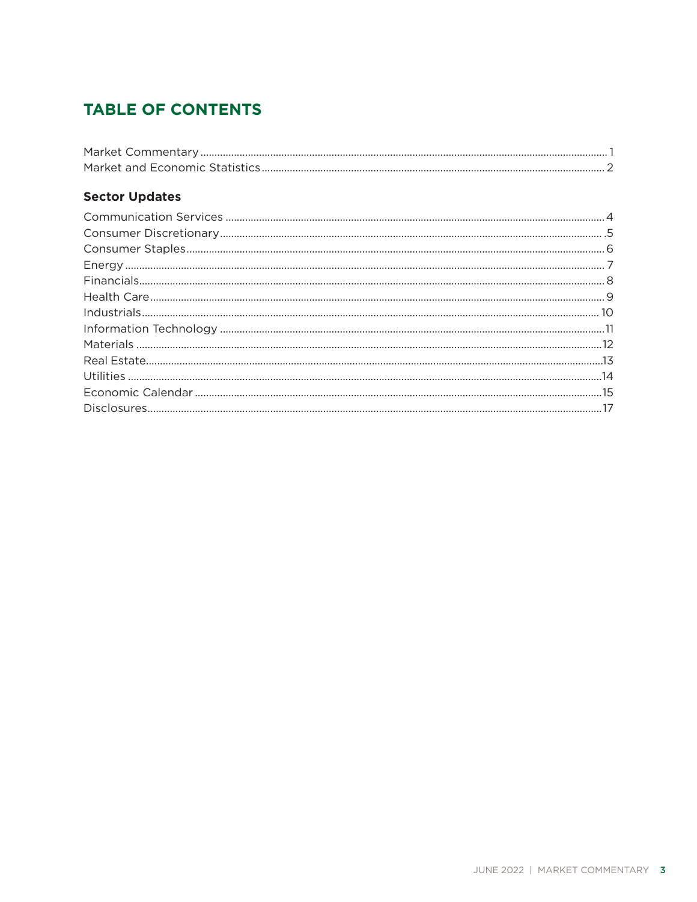# **TABLE OF CONTENTS**

### **Sector Updates**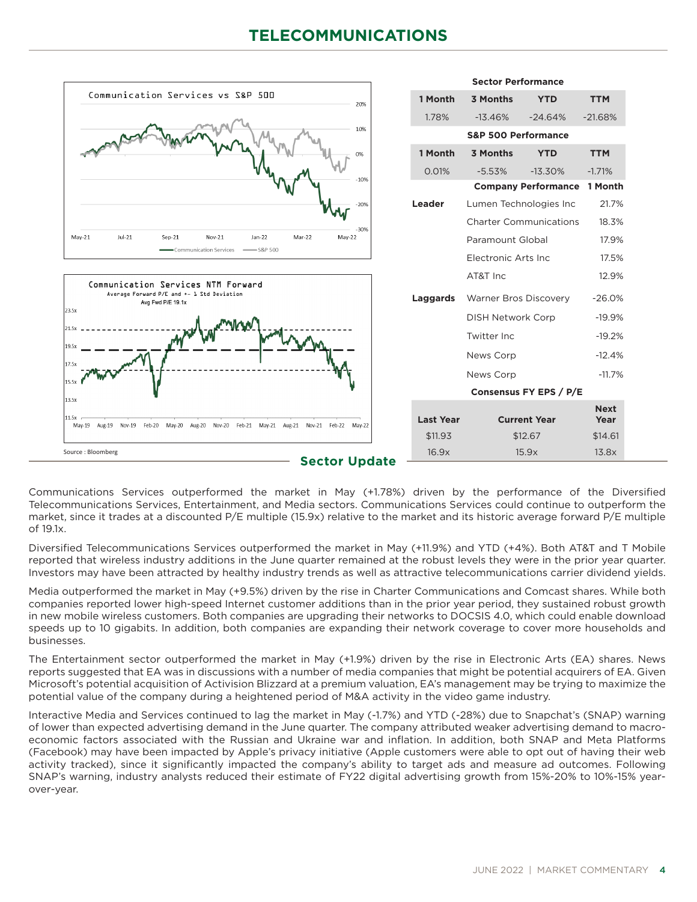# **TELECOMMUNICATIONS**



Communications Services outperformed the market in May (+1.78%) driven by the performance of the Diversified Telecommunications Services, Entertainment, and Media sectors. Communications Services could continue to outperform the market, since it trades at a discounted P/E multiple (15.9x) relative to the market and its historic average forward P/E multiple of 19.1x.

Diversified Telecommunications Services outperformed the market in May (+11.9%) and YTD (+4%). Both AT&T and T Mobile reported that wireless industry additions in the June quarter remained at the robust levels they were in the prior year quarter. Investors may have been attracted by healthy industry trends as well as attractive telecommunications carrier dividend yields.

Media outperformed the market in May (+9.5%) driven by the rise in Charter Communications and Comcast shares. While both companies reported lower high-speed Internet customer additions than in the prior year period, they sustained robust growth in new mobile wireless customers. Both companies are upgrading their networks to DOCSIS 4.0, which could enable download speeds up to 10 gigabits. In addition, both companies are expanding their network coverage to cover more households and businesses.

The Entertainment sector outperformed the market in May (+1.9%) driven by the rise in Electronic Arts (EA) shares. News reports suggested that EA was in discussions with a number of media companies that might be potential acquirers of EA. Given Microsoft's potential acquisition of Activision Blizzard at a premium valuation, EA's management may be trying to maximize the potential value of the company during a heightened period of M&A activity in the video game industry.

Interactive Media and Services continued to lag the market in May (-1.7%) and YTD (-28%) due to Snapchat's (SNAP) warning of lower than expected advertising demand in the June quarter. The company attributed weaker advertising demand to macroeconomic factors associated with the Russian and Ukraine war and inflation. In addition, both SNAP and Meta Platforms (Facebook) may have been impacted by Apple's privacy initiative (Apple customers were able to opt out of having their web activity tracked), since it significantly impacted the company's ability to target ads and measure ad outcomes. Following SNAP's warning, industry analysts reduced their estimate of FY22 digital advertising growth from 15%-20% to 10%-15% yearover-year.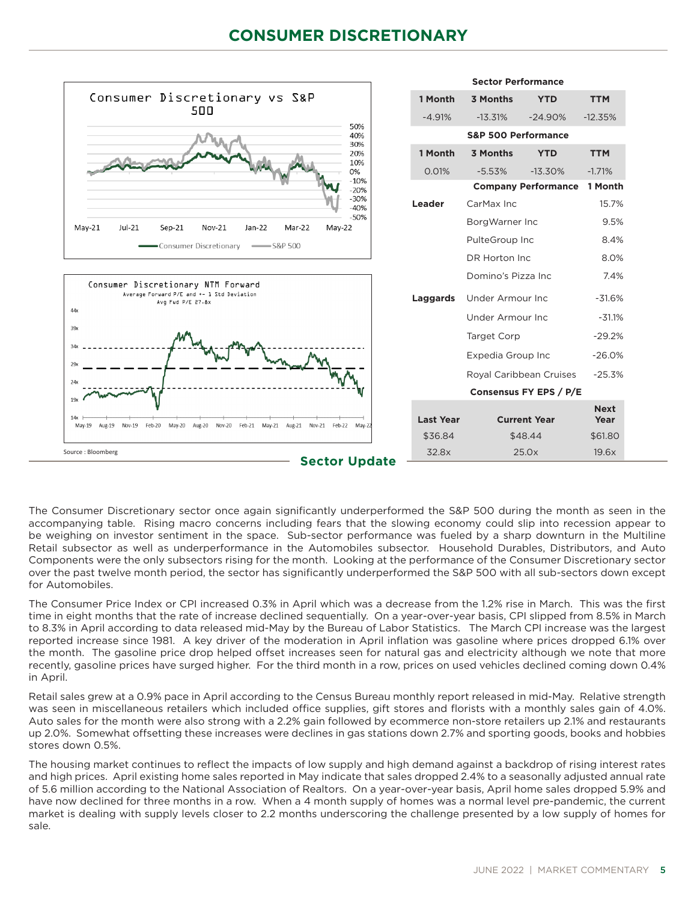# **CONSUMER DISCRETIONARY**



The Consumer Discretionary sector once again significantly underperformed the S&P 500 during the month as seen in the accompanying table. Rising macro concerns including fears that the slowing economy could slip into recession appear to be weighing on investor sentiment in the space. Sub-sector performance was fueled by a sharp downturn in the Multiline Retail subsector as well as underperformance in the Automobiles subsector. Household Durables, Distributors, and Auto Components were the only subsectors rising for the month. Looking at the performance of the Consumer Discretionary sector over the past twelve month period, the sector has significantly underperformed the S&P 500 with all sub-sectors down except for Automobiles.

The Consumer Price Index or CPI increased 0.3% in April which was a decrease from the 1.2% rise in March. This was the first time in eight months that the rate of increase declined sequentially. On a year-over-year basis, CPI slipped from 8.5% in March to 8.3% in April according to data released mid-May by the Bureau of Labor Statistics. The March CPI increase was the largest reported increase since 1981. A key driver of the moderation in April inflation was gasoline where prices dropped 6.1% over the month. The gasoline price drop helped offset increases seen for natural gas and electricity although we note that more recently, gasoline prices have surged higher. For the third month in a row, prices on used vehicles declined coming down 0.4% in April.

Retail sales grew at a 0.9% pace in April according to the Census Bureau monthly report released in mid-May. Relative strength was seen in miscellaneous retailers which included office supplies, gift stores and florists with a monthly sales gain of 4.0%. Auto sales for the month were also strong with a 2.2% gain followed by ecommerce non-store retailers up 2.1% and restaurants up 2.0%. Somewhat offsetting these increases were declines in gas stations down 2.7% and sporting goods, books and hobbies stores down 0.5%.

The housing market continues to reflect the impacts of low supply and high demand against a backdrop of rising interest rates and high prices. April existing home sales reported in May indicate that sales dropped 2.4% to a seasonally adjusted annual rate of 5.6 million according to the National Association of Realtors. On a year-over-year basis, April home sales dropped 5.9% and have now declined for three months in a row. When a 4 month supply of homes was a normal level pre-pandemic, the current market is dealing with supply levels closer to 2.2 months underscoring the challenge presented by a low supply of homes for sale.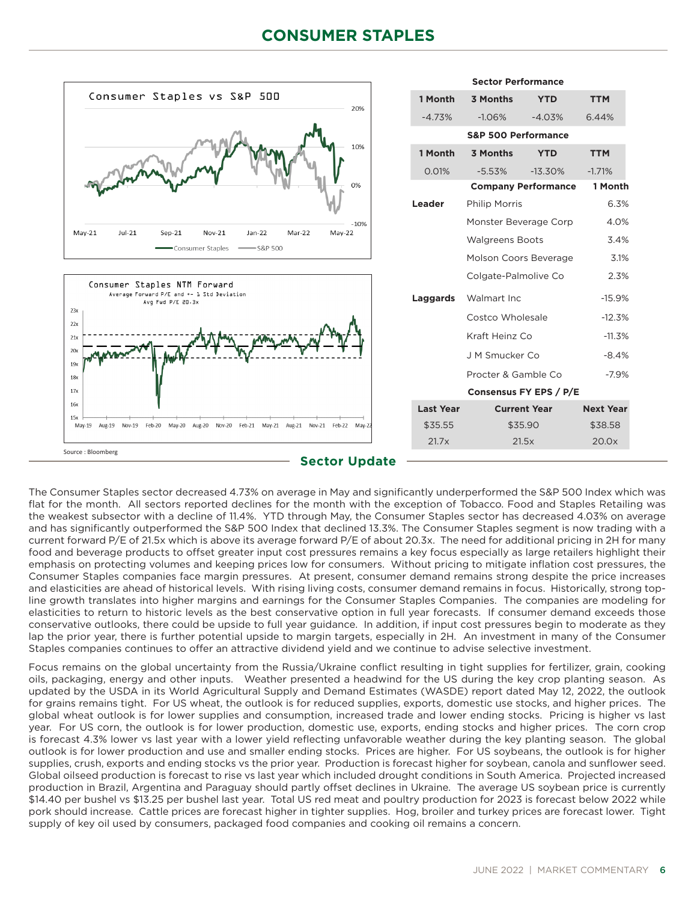# **CONSUMER STAPLES**



The Consumer Staples sector decreased 4.73% on average in May and significantly underperformed the S&P 500 Index which was flat for the month. All sectors reported declines for the month with the exception of Tobacco. Food and Staples Retailing was the weakest subsector with a decline of 11.4%. YTD through May, the Consumer Staples sector has decreased 4.03% on average and has significantly outperformed the S&P 500 Index that declined 13.3%. The Consumer Staples segment is now trading with a current forward P/E of 21.5x which is above its average forward P/E of about 20.3x. The need for additional pricing in 2H for many food and beverage products to offset greater input cost pressures remains a key focus especially as large retailers highlight their emphasis on protecting volumes and keeping prices low for consumers. Without pricing to mitigate inflation cost pressures, the Consumer Staples companies face margin pressures. At present, consumer demand remains strong despite the price increases and elasticities are ahead of historical levels. With rising living costs, consumer demand remains in focus. Historically, strong topline growth translates into higher margins and earnings for the Consumer Staples Companies. The companies are modeling for elasticities to return to historic levels as the best conservative option in full year forecasts. If consumer demand exceeds those conservative outlooks, there could be upside to full year guidance. In addition, if input cost pressures begin to moderate as they lap the prior year, there is further potential upside to margin targets, especially in 2H. An investment in many of the Consumer Staples companies continues to offer an attractive dividend yield and we continue to advise selective investment.

Focus remains on the global uncertainty from the Russia/Ukraine conflict resulting in tight supplies for fertilizer, grain, cooking oils, packaging, energy and other inputs. Weather presented a headwind for the US during the key crop planting season. As updated by the USDA in its World Agricultural Supply and Demand Estimates (WASDE) report dated May 12, 2022, the outlook for grains remains tight. For US wheat, the outlook is for reduced supplies, exports, domestic use stocks, and higher prices. The global wheat outlook is for lower supplies and consumption, increased trade and lower ending stocks. Pricing is higher vs last year. For US corn, the outlook is for lower production, domestic use, exports, ending stocks and higher prices. The corn crop is forecast 4.3% lower vs last year with a lower yield reflecting unfavorable weather during the key planting season. The global outlook is for lower production and use and smaller ending stocks. Prices are higher. For US soybeans, the outlook is for higher supplies, crush, exports and ending stocks vs the prior year. Production is forecast higher for soybean, canola and sunflower seed. Global oilseed production is forecast to rise vs last year which included drought conditions in South America. Projected increased production in Brazil, Argentina and Paraguay should partly offset declines in Ukraine. The average US soybean price is currently \$14.40 per bushel vs \$13.25 per bushel last year. Total US red meat and poultry production for 2023 is forecast below 2022 while pork should increase. Cattle prices are forecast higher in tighter supplies. Hog, broiler and turkey prices are forecast lower. Tight supply of key oil used by consumers, packaged food companies and cooking oil remains a concern.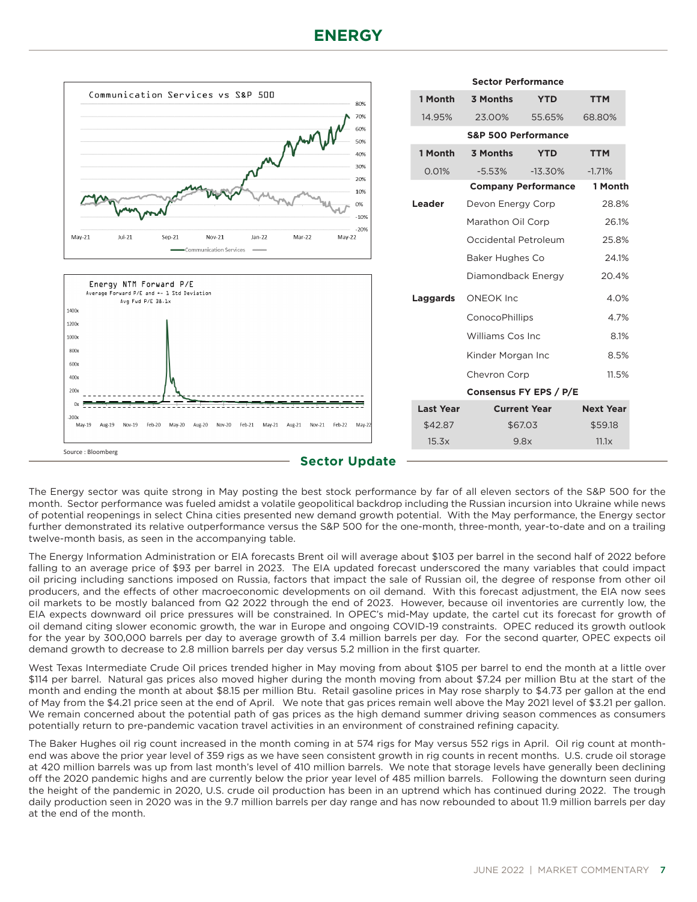# **ENERGY**



The Energy sector was quite strong in May posting the best stock performance by far of all eleven sectors of the S&P 500 for the month. Sector performance was fueled amidst a volatile geopolitical backdrop including the Russian incursion into Ukraine while news of potential reopenings in select China cities presented new demand growth potential. With the May performance, the Energy sector further demonstrated its relative outperformance versus the S&P 500 for the one-month, three-month, year-to-date and on a trailing twelve-month basis, as seen in the accompanying table.

The Energy Information Administration or EIA forecasts Brent oil will average about \$103 per barrel in the second half of 2022 before falling to an average price of \$93 per barrel in 2023. The EIA updated forecast underscored the many variables that could impact oil pricing including sanctions imposed on Russia, factors that impact the sale of Russian oil, the degree of response from other oil producers, and the effects of other macroeconomic developments on oil demand. With this forecast adjustment, the EIA now sees oil markets to be mostly balanced from Q2 2022 through the end of 2023. However, because oil inventories are currently low, the EIA expects downward oil price pressures will be constrained. In OPEC's mid-May update, the cartel cut its forecast for growth of oil demand citing slower economic growth, the war in Europe and ongoing COVID-19 constraints. OPEC reduced its growth outlook for the year by 300,000 barrels per day to average growth of 3.4 million barrels per day. For the second quarter, OPEC expects oil demand growth to decrease to 2.8 million barrels per day versus 5.2 million in the first quarter.

West Texas Intermediate Crude Oil prices trended higher in May moving from about \$105 per barrel to end the month at a little over \$114 per barrel. Natural gas prices also moved higher during the month moving from about \$7.24 per million Btu at the start of the month and ending the month at about \$8.15 per million Btu. Retail gasoline prices in May rose sharply to \$4.73 per gallon at the end of May from the \$4.21 price seen at the end of April. We note that gas prices remain well above the May 2021 level of \$3.21 per gallon. We remain concerned about the potential path of gas prices as the high demand summer driving season commences as consumers potentially return to pre-pandemic vacation travel activities in an environment of constrained refining capacity.

The Baker Hughes oil rig count increased in the month coming in at 574 rigs for May versus 552 rigs in April. Oil rig count at monthend was above the prior year level of 359 rigs as we have seen consistent growth in rig counts in recent months. U.S. crude oil storage at 420 million barrels was up from last month's level of 410 million barrels. We note that storage levels have generally been declining off the 2020 pandemic highs and are currently below the prior year level of 485 million barrels. Following the downturn seen during the height of the pandemic in 2020, U.S. crude oil production has been in an uptrend which has continued during 2022. The trough daily production seen in 2020 was in the 9.7 million barrels per day range and has now rebounded to about 11.9 million barrels per day at the end of the month.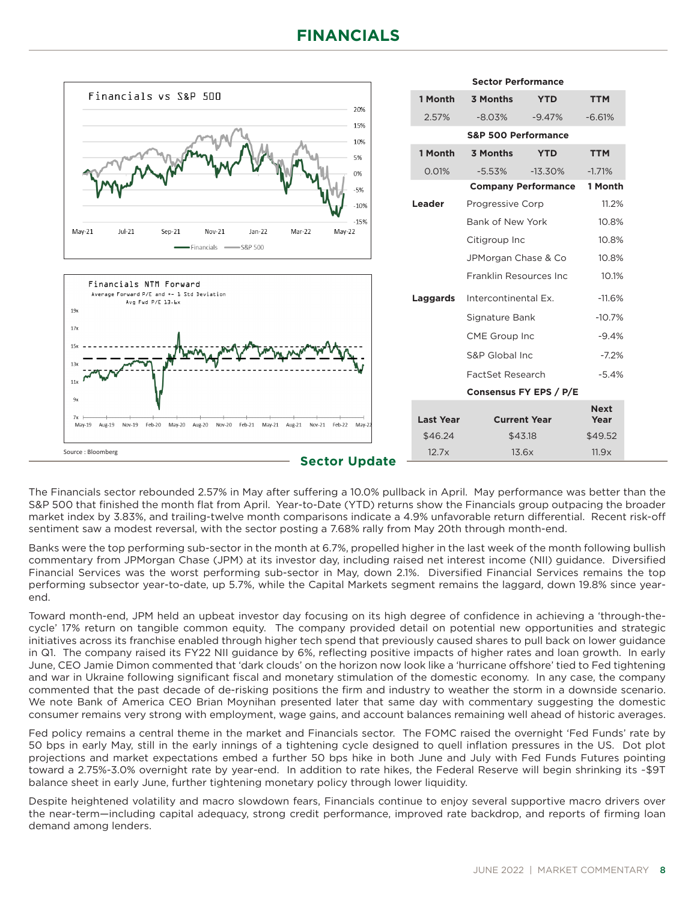

The Financials sector rebounded 2.57% in May after suffering a 10.0% pullback in April. May performance was better than the S&P 500 that finished the month flat from April. Year-to-Date (YTD) returns show the Financials group outpacing the broader market index by 3.83%, and trailing-twelve month comparisons indicate a 4.9% unfavorable return differential. Recent risk-off sentiment saw a modest reversal, with the sector posting a 7.68% rally from May 20th through month-end.

Banks were the top performing sub-sector in the month at 6.7%, propelled higher in the last week of the month following bullish commentary from JPMorgan Chase (JPM) at its investor day, including raised net interest income (NII) guidance. Diversified Financial Services was the worst performing sub-sector in May, down 2.1%. Diversified Financial Services remains the top performing subsector year-to-date, up 5.7%, while the Capital Markets segment remains the laggard, down 19.8% since yearend.

Toward month-end, JPM held an upbeat investor day focusing on its high degree of confidence in achieving a 'through-thecycle' 17% return on tangible common equity. The company provided detail on potential new opportunities and strategic initiatives across its franchise enabled through higher tech spend that previously caused shares to pull back on lower guidance in Q1. The company raised its FY22 NII guidance by 6%, reflecting positive impacts of higher rates and loan growth. In early June, CEO Jamie Dimon commented that 'dark clouds' on the horizon now look like a 'hurricane offshore' tied to Fed tightening and war in Ukraine following significant fiscal and monetary stimulation of the domestic economy. In any case, the company commented that the past decade of de-risking positions the firm and industry to weather the storm in a downside scenario. We note Bank of America CEO Brian Moynihan presented later that same day with commentary suggesting the domestic consumer remains very strong with employment, wage gains, and account balances remaining well ahead of historic averages.

Fed policy remains a central theme in the market and Financials sector. The FOMC raised the overnight 'Fed Funds' rate by 50 bps in early May, still in the early innings of a tightening cycle designed to quell inflation pressures in the US. Dot plot projections and market expectations embed a further 50 bps hike in both June and July with Fed Funds Futures pointing toward a 2.75%-3.0% overnight rate by year-end. In addition to rate hikes, the Federal Reserve will begin shrinking its ~\$9T balance sheet in early June, further tightening monetary policy through lower liquidity.

Despite heightened volatility and macro slowdown fears, Financials continue to enjoy several supportive macro drivers over the near-term—including capital adequacy, strong credit performance, improved rate backdrop, and reports of firming loan demand among lenders.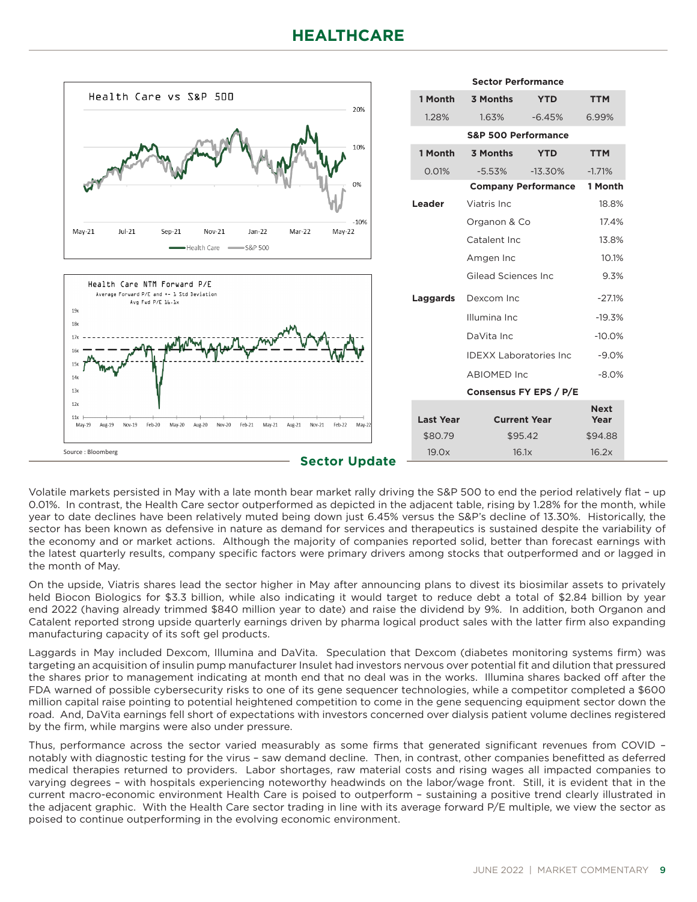# **HEALTHCARE**



Volatile markets persisted in May with a late month bear market rally driving the S&P 500 to end the period relatively flat – up 0.01%. In contrast, the Health Care sector outperformed as depicted in the adjacent table, rising by 1.28% for the month, while year to date declines have been relatively muted being down just 6.45% versus the S&P's decline of 13.30%. Historically, the sector has been known as defensive in nature as demand for services and therapeutics is sustained despite the variability of the economy and or market actions. Although the majority of companies reported solid, better than forecast earnings with the latest quarterly results, company specific factors were primary drivers among stocks that outperformed and or lagged in the month of May.

On the upside, Viatris shares lead the sector higher in May after announcing plans to divest its biosimilar assets to privately held Biocon Biologics for \$3.3 billion, while also indicating it would target to reduce debt a total of \$2.84 billion by year end 2022 (having already trimmed \$840 million year to date) and raise the dividend by 9%. In addition, both Organon and Catalent reported strong upside quarterly earnings driven by pharma logical product sales with the latter firm also expanding manufacturing capacity of its soft gel products.

Laggards in May included Dexcom, Illumina and DaVita. Speculation that Dexcom (diabetes monitoring systems firm) was targeting an acquisition of insulin pump manufacturer Insulet had investors nervous over potential fit and dilution that pressured the shares prior to management indicating at month end that no deal was in the works. Illumina shares backed off after the FDA warned of possible cybersecurity risks to one of its gene sequencer technologies, while a competitor completed a \$600 million capital raise pointing to potential heightened competition to come in the gene sequencing equipment sector down the road. And, DaVita earnings fell short of expectations with investors concerned over dialysis patient volume declines registered by the firm, while margins were also under pressure.

Thus, performance across the sector varied measurably as some firms that generated significant revenues from COVID – notably with diagnostic testing for the virus – saw demand decline. Then, in contrast, other companies benefitted as deferred medical therapies returned to providers. Labor shortages, raw material costs and rising wages all impacted companies to varying degrees – with hospitals experiencing noteworthy headwinds on the labor/wage front. Still, it is evident that in the current macro-economic environment Health Care is poised to outperform – sustaining a positive trend clearly illustrated in the adjacent graphic. With the Health Care sector trading in line with its average forward P/E multiple, we view the sector as poised to continue outperforming in the evolving economic environment.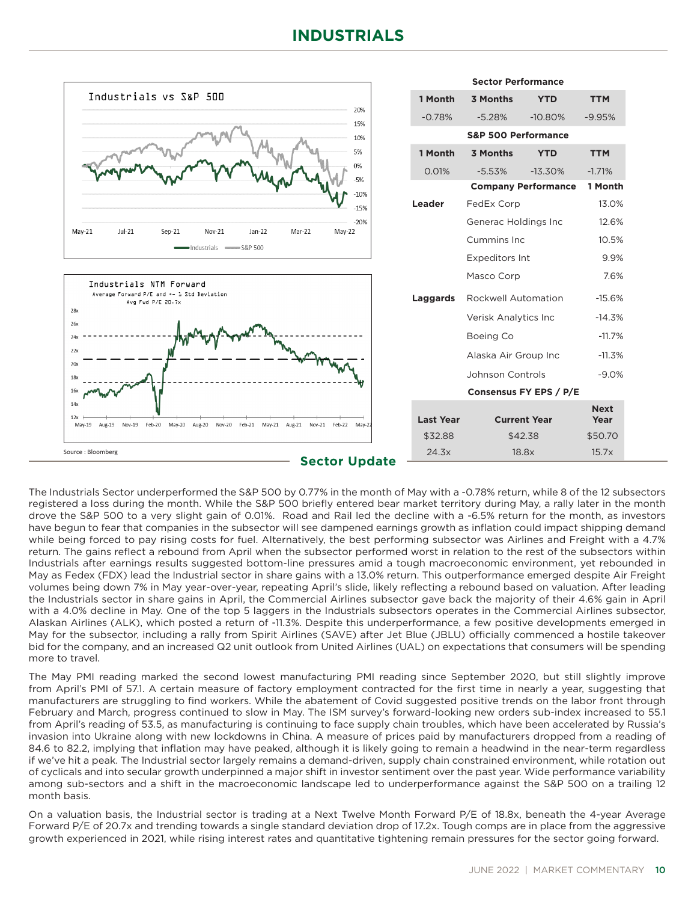

The Industrials Sector underperformed the S&P 500 by 0.77% in the month of May with a -0.78% return, while 8 of the 12 subsectors registered a loss during the month. While the S&P 500 briefly entered bear market territory during May, a rally later in the month drove the S&P 500 to a very slight gain of 0.01%. Road and Rail led the decline with a -6.5% return for the month, as investors have begun to fear that companies in the subsector will see dampened earnings growth as inflation could impact shipping demand while being forced to pay rising costs for fuel. Alternatively, the best performing subsector was Airlines and Freight with a 4.7% return. The gains reflect a rebound from April when the subsector performed worst in relation to the rest of the subsectors within Industrials after earnings results suggested bottom-line pressures amid a tough macroeconomic environment, yet rebounded in May as Fedex (FDX) lead the Industrial sector in share gains with a 13.0% return. This outperformance emerged despite Air Freight volumes being down 7% in May year-over-year, repeating April's slide, likely reflecting a rebound based on valuation. After leading the Industrials sector in share gains in April, the Commercial Airlines subsector gave back the majority of their 4.6% gain in April with a 4.0% decline in May. One of the top 5 laggers in the Industrials subsectors operates in the Commercial Airlines subsector, Alaskan Airlines (ALK), which posted a return of -11.3%. Despite this underperformance, a few positive developments emerged in May for the subsector, including a rally from Spirit Airlines (SAVE) after Jet Blue (JBLU) officially commenced a hostile takeover bid for the company, and an increased Q2 unit outlook from United Airlines (UAL) on expectations that consumers will be spending more to travel.

The May PMI reading marked the second lowest manufacturing PMI reading since September 2020, but still slightly improve from April's PMI of 57.1. A certain measure of factory employment contracted for the first time in nearly a year, suggesting that manufacturers are struggling to find workers. While the abatement of Covid suggested positive trends on the labor front through February and March, progress continued to slow in May. The ISM survey's forward-looking new orders sub-index increased to 55.1 from April's reading of 53.5, as manufacturing is continuing to face supply chain troubles, which have been accelerated by Russia's invasion into Ukraine along with new lockdowns in China. A measure of prices paid by manufacturers dropped from a reading of 84.6 to 82.2, implying that inflation may have peaked, although it is likely going to remain a headwind in the near-term regardless if we've hit a peak. The Industrial sector largely remains a demand-driven, supply chain constrained environment, while rotation out of cyclicals and into secular growth underpinned a major shift in investor sentiment over the past year. Wide performance variability among sub-sectors and a shift in the macroeconomic landscape led to underperformance against the S&P 500 on a trailing 12 month basis.

On a valuation basis, the Industrial sector is trading at a Next Twelve Month Forward P/E of 18.8x, beneath the 4-year Average Forward P/E of 20.7x and trending towards a single standard deviation drop of 17.2x. Tough comps are in place from the aggressive growth experienced in 2021, while rising interest rates and quantitative tightening remain pressures for the sector going forward.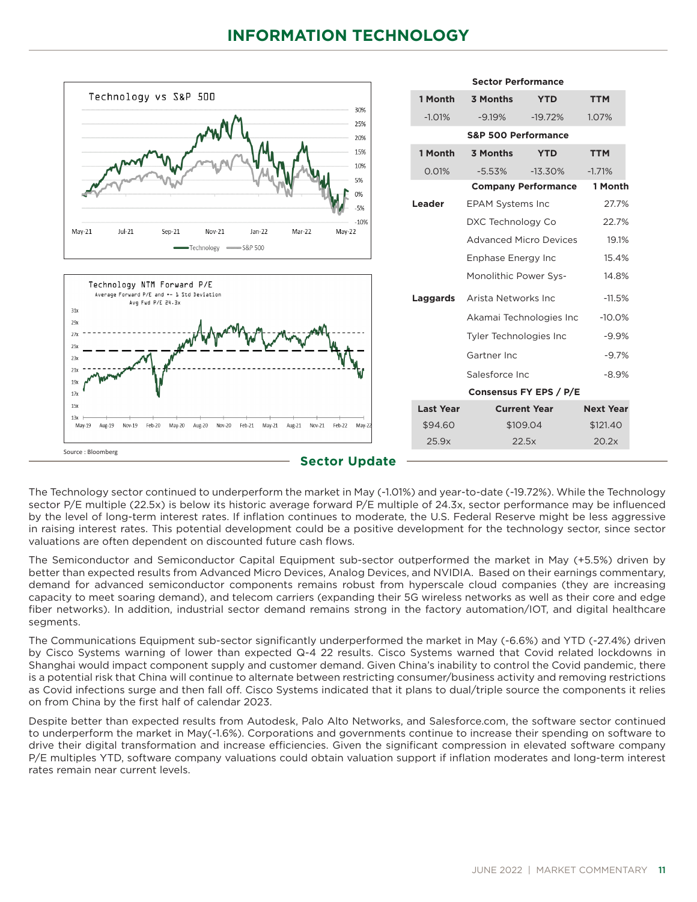

The Technology sector continued to underperform the market in May (-1.01%) and year-to-date (-19.72%). While the Technology sector P/E multiple (22.5x) is below its historic average forward P/E multiple of 24.3x, sector performance may be influenced by the level of long-term interest rates. If inflation continues to moderate, the U.S. Federal Reserve might be less aggressive in raising interest rates. This potential development could be a positive development for the technology sector, since sector valuations are often dependent on discounted future cash flows.

The Semiconductor and Semiconductor Capital Equipment sub-sector outperformed the market in May (+5.5%) driven by better than expected results from Advanced Micro Devices, Analog Devices, and NVIDIA. Based on their earnings commentary, demand for advanced semiconductor components remains robust from hyperscale cloud companies (they are increasing capacity to meet soaring demand), and telecom carriers (expanding their 5G wireless networks as well as their core and edge fiber networks). In addition, industrial sector demand remains strong in the factory automation/IOT, and digital healthcare segments.

The Communications Equipment sub-sector significantly underperformed the market in May (-6.6%) and YTD (-27.4%) driven by Cisco Systems warning of lower than expected Q-4 22 results. Cisco Systems warned that Covid related lockdowns in Shanghai would impact component supply and customer demand. Given China's inability to control the Covid pandemic, there is a potential risk that China will continue to alternate between restricting consumer/business activity and removing restrictions as Covid infections surge and then fall off. Cisco Systems indicated that it plans to dual/triple source the components it relies on from China by the first half of calendar 2023.

Despite better than expected results from Autodesk, Palo Alto Networks, and Salesforce.com, the software sector continued to underperform the market in May(-1.6%). Corporations and governments continue to increase their spending on software to drive their digital transformation and increase efficiencies. Given the significant compression in elevated software company P/E multiples YTD, software company valuations could obtain valuation support if inflation moderates and long-term interest rates remain near current levels.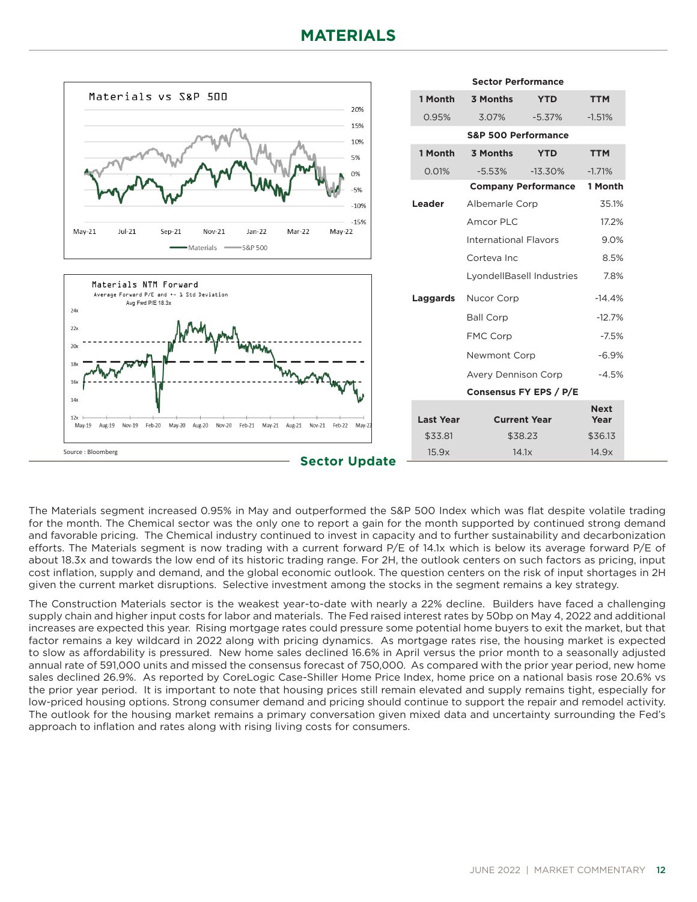

The Materials segment increased 0.95% in May and outperformed the S&P 500 Index which was flat despite volatile trading for the month. The Chemical sector was the only one to report a gain for the month supported by continued strong demand and favorable pricing. The Chemical industry continued to invest in capacity and to further sustainability and decarbonization efforts. The Materials segment is now trading with a current forward P/E of 14.1x which is below its average forward P/E of about 18.3x and towards the low end of its historic trading range. For 2H, the outlook centers on such factors as pricing, input cost inflation, supply and demand, and the global economic outlook. The question centers on the risk of input shortages in 2H given the current market disruptions. Selective investment among the stocks in the segment remains a key strategy.

The Construction Materials sector is the weakest year-to-date with nearly a 22% decline. Builders have faced a challenging supply chain and higher input costs for labor and materials. The Fed raised interest rates by 50bp on May 4, 2022 and additional increases are expected this year. Rising mortgage rates could pressure some potential home buyers to exit the market, but that factor remains a key wildcard in 2022 along with pricing dynamics. As mortgage rates rise, the housing market is expected to slow as affordability is pressured. New home sales declined 16.6% in April versus the prior month to a seasonally adjusted annual rate of 591,000 units and missed the consensus forecast of 750,000. As compared with the prior year period, new home sales declined 26.9%. As reported by CoreLogic Case-Shiller Home Price Index, home price on a national basis rose 20.6% vs the prior year period. It is important to note that housing prices still remain elevated and supply remains tight, especially for low-priced housing options. Strong consumer demand and pricing should continue to support the repair and remodel activity. The outlook for the housing market remains a primary conversation given mixed data and uncertainty surrounding the Fed's approach to inflation and rates along with rising living costs for consumers.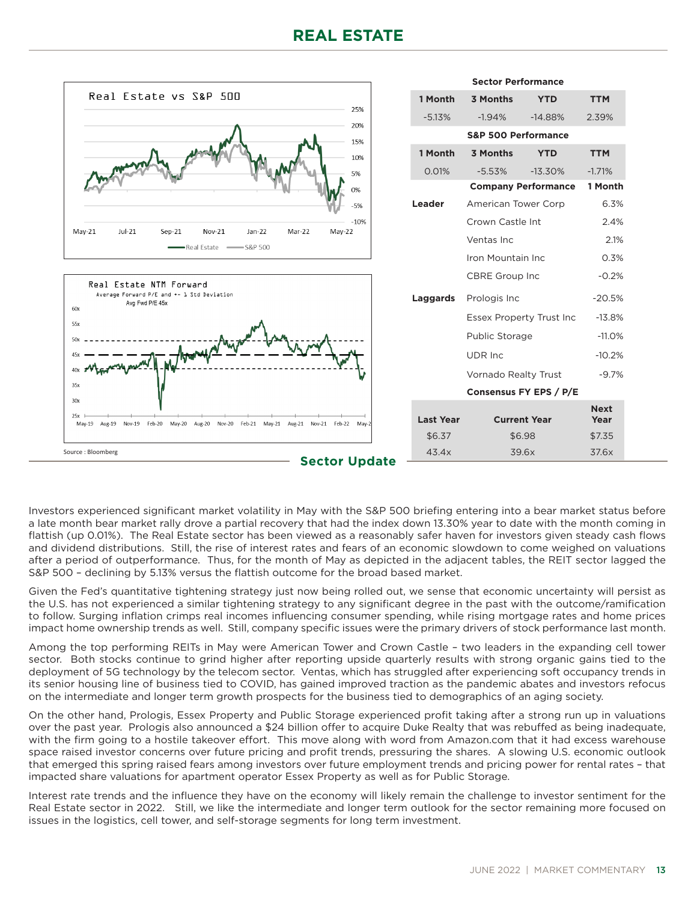

Investors experienced significant market volatility in May with the S&P 500 briefing entering into a bear market status before a late month bear market rally drove a partial recovery that had the index down 13.30% year to date with the month coming in flattish (up 0.01%). The Real Estate sector has been viewed as a reasonably safer haven for investors given steady cash flows and dividend distributions. Still, the rise of interest rates and fears of an economic slowdown to come weighed on valuations after a period of outperformance. Thus, for the month of May as depicted in the adjacent tables, the REIT sector lagged the S&P 500 – declining by 5.13% versus the flattish outcome for the broad based market.

Given the Fed's quantitative tightening strategy just now being rolled out, we sense that economic uncertainty will persist as the U.S. has not experienced a similar tightening strategy to any significant degree in the past with the outcome/ramification to follow. Surging inflation crimps real incomes influencing consumer spending, while rising mortgage rates and home prices impact home ownership trends as well. Still, company specific issues were the primary drivers of stock performance last month.

Among the top performing REITs in May were American Tower and Crown Castle – two leaders in the expanding cell tower sector. Both stocks continue to grind higher after reporting upside quarterly results with strong organic gains tied to the deployment of 5G technology by the telecom sector. Ventas, which has struggled after experiencing soft occupancy trends in its senior housing line of business tied to COVID, has gained improved traction as the pandemic abates and investors refocus on the intermediate and longer term growth prospects for the business tied to demographics of an aging society.

On the other hand, Prologis, Essex Property and Public Storage experienced profit taking after a strong run up in valuations over the past year. Prologis also announced a \$24 billion offer to acquire Duke Realty that was rebuffed as being inadequate, with the firm going to a hostile takeover effort. This move along with word from Amazon.com that it had excess warehouse space raised investor concerns over future pricing and profit trends, pressuring the shares. A slowing U.S. economic outlook that emerged this spring raised fears among investors over future employment trends and pricing power for rental rates – that impacted share valuations for apartment operator Essex Property as well as for Public Storage.

Interest rate trends and the influence they have on the economy will likely remain the challenge to investor sentiment for the Real Estate sector in 2022. Still, we like the intermediate and longer term outlook for the sector remaining more focused on issues in the logistics, cell tower, and self-storage segments for long term investment.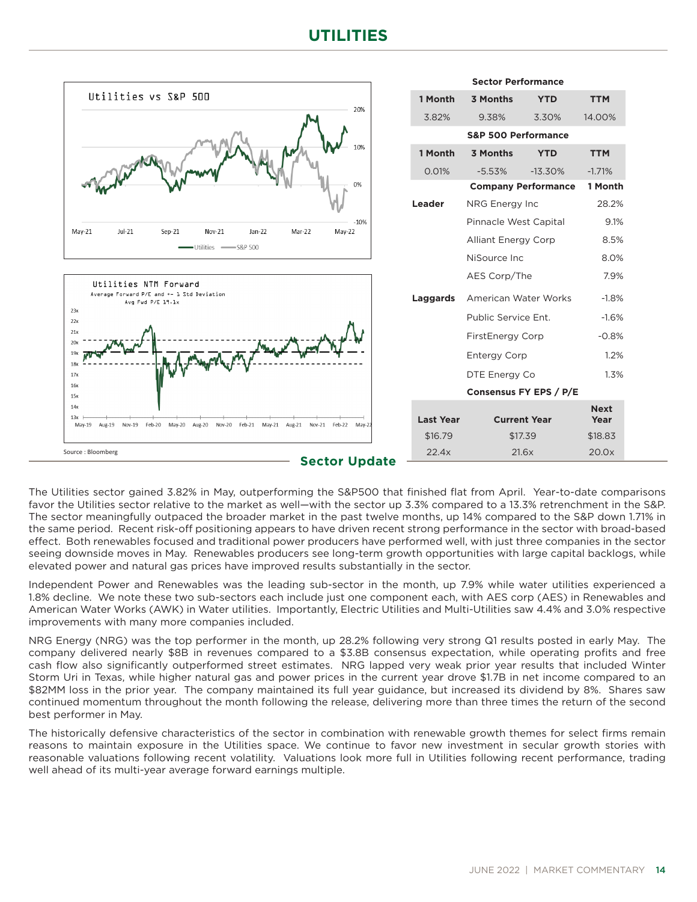# **UTILITIES**



The Utilities sector gained 3.82% in May, outperforming the S&P500 that finished flat from April. Year-to-date comparisons favor the Utilities sector relative to the market as well—with the sector up 3.3% compared to a 13.3% retrenchment in the S&P. The sector meaningfully outpaced the broader market in the past twelve months, up 14% compared to the S&P down 1.71% in the same period. Recent risk-off positioning appears to have driven recent strong performance in the sector with broad-based effect. Both renewables focused and traditional power producers have performed well, with just three companies in the sector seeing downside moves in May. Renewables producers see long-term growth opportunities with large capital backlogs, while elevated power and natural gas prices have improved results substantially in the sector.

Independent Power and Renewables was the leading sub-sector in the month, up 7.9% while water utilities experienced a 1.8% decline. We note these two sub-sectors each include just one component each, with AES corp (AES) in Renewables and American Water Works (AWK) in Water utilities. Importantly, Electric Utilities and Multi-Utilities saw 4.4% and 3.0% respective improvements with many more companies included.

NRG Energy (NRG) was the top performer in the month, up 28.2% following very strong Q1 results posted in early May. The company delivered nearly \$8B in revenues compared to a \$3.8B consensus expectation, while operating profits and free cash flow also significantly outperformed street estimates. NRG lapped very weak prior year results that included Winter Storm Uri in Texas, while higher natural gas and power prices in the current year drove \$1.7B in net income compared to an \$82MM loss in the prior year. The company maintained its full year guidance, but increased its dividend by 8%. Shares saw continued momentum throughout the month following the release, delivering more than three times the return of the second best performer in May.

The historically defensive characteristics of the sector in combination with renewable growth themes for select firms remain reasons to maintain exposure in the Utilities space. We continue to favor new investment in secular growth stories with reasonable valuations following recent volatility. Valuations look more full in Utilities following recent performance, trading well ahead of its multi-year average forward earnings multiple.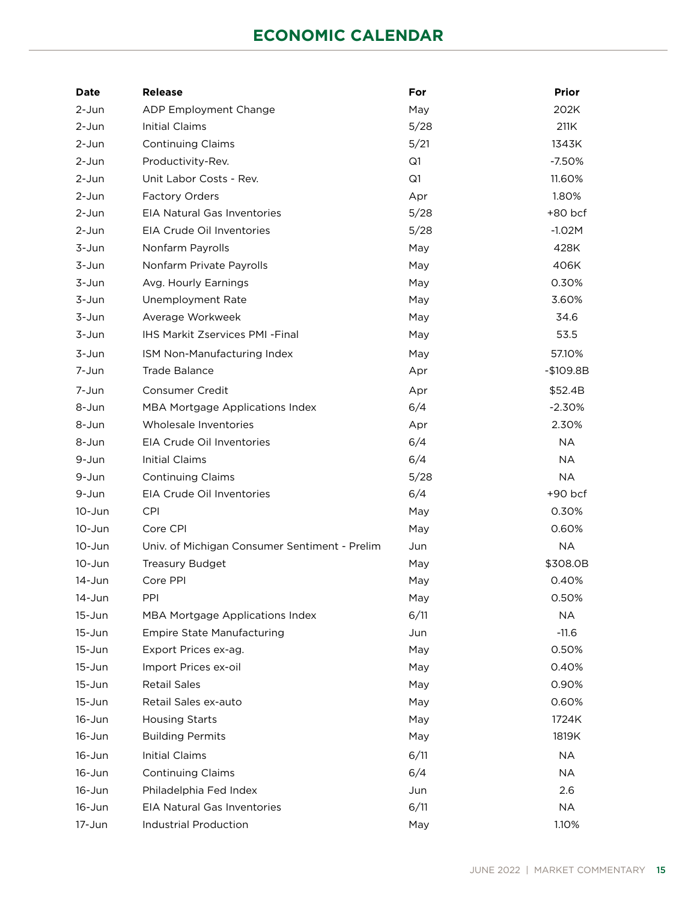# **ECONOMIC CALENDAR**

| <b>Date</b> | <b>Release</b>                                | For  | <b>Prior</b> |
|-------------|-----------------------------------------------|------|--------------|
| 2-Jun       | ADP Employment Change                         | May  | 202K         |
| 2-Jun       | <b>Initial Claims</b>                         | 5/28 | 211K         |
| 2-Jun       | <b>Continuing Claims</b>                      | 5/21 | 1343K        |
| 2-Jun       | Productivity-Rev.                             | Q1   | $-7.50%$     |
| 2-Jun       | Unit Labor Costs - Rev.                       | Q1   | 11.60%       |
| 2-Jun       | Factory Orders                                | Apr  | 1.80%        |
| $2-Jun$     | EIA Natural Gas Inventories                   | 5/28 | +80 bcf      |
| 2-Jun       | EIA Crude Oil Inventories                     | 5/28 | $-1.02M$     |
| 3-Jun       | Nonfarm Payrolls                              | May  | 428K         |
| 3-Jun       | Nonfarm Private Payrolls                      | May  | 406K         |
| 3-Jun       | Avg. Hourly Earnings                          | May  | 0.30%        |
| 3-Jun       | Unemployment Rate                             | May  | 3.60%        |
| 3-Jun       | Average Workweek                              | May  | 34.6         |
| 3-Jun       | IHS Markit Zservices PMI -Final               | May  | 53.5         |
| 3-Jun       | ISM Non-Manufacturing Index                   | May  | 57.10%       |
| 7-Jun       | <b>Trade Balance</b>                          | Apr  | $-$109.8B$   |
| 7-Jun       | <b>Consumer Credit</b>                        | Apr  | \$52.4B      |
| 8-Jun       | MBA Mortgage Applications Index               | 6/4  | $-2.30%$     |
| 8-Jun       | Wholesale Inventories                         | Apr  | 2.30%        |
| 8-Jun       | EIA Crude Oil Inventories                     | 6/4  | <b>NA</b>    |
| 9-Jun       | <b>Initial Claims</b>                         | 6/4  | <b>NA</b>    |
| 9-Jun       | <b>Continuing Claims</b>                      | 5/28 | <b>NA</b>    |
| 9-Jun       | EIA Crude Oil Inventories                     | 6/4  | $+90$ bcf    |
| 10-Jun      | <b>CPI</b>                                    | May  | 0.30%        |
| $10 - Jun$  | Core CPI                                      | May  | 0.60%        |
| 10-Jun      | Univ. of Michigan Consumer Sentiment - Prelim | Jun  | <b>NA</b>    |
| $10 - Jun$  | <b>Treasury Budget</b>                        | May  | \$308.0B     |
| 14-Jun      | Core PPI                                      | May  | 0.40%        |
| 14-Jun      | PPI                                           | May  | 0.50%        |
| $15 - Jun$  | MBA Mortgage Applications Index               | 6/11 | <b>NA</b>    |
| $15 - Jun$  | <b>Empire State Manufacturing</b>             | Jun  | $-11.6$      |
| $15 - Jun$  | Export Prices ex-ag.                          | May  | 0.50%        |
| $15 - Jun$  | Import Prices ex-oil                          | May  | 0.40%        |
| $15 - Jun$  | <b>Retail Sales</b>                           | May  | 0.90%        |
| $15 - Jun$  | Retail Sales ex-auto                          | May  | 0.60%        |
| $16 - Jun$  | <b>Housing Starts</b>                         | May  | 1724K        |
| $16 - Jun$  | <b>Building Permits</b>                       | May  | 1819K        |
| $16 - Jun$  | <b>Initial Claims</b>                         | 6/11 | NA           |
| $16 - Jun$  | <b>Continuing Claims</b>                      | 6/4  | <b>NA</b>    |
| $16 - Jun$  | Philadelphia Fed Index                        | Jun  | 2.6          |
| $16 - Jun$  | EIA Natural Gas Inventories                   | 6/11 | <b>NA</b>    |
| 17-Jun      | <b>Industrial Production</b>                  | May  | 1.10%        |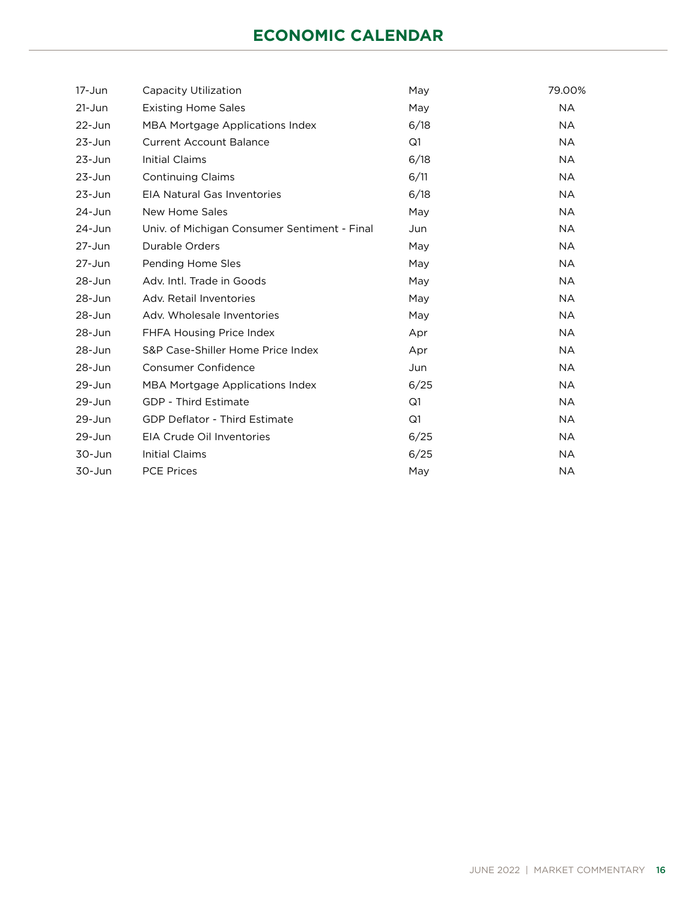# **ECONOMIC CALENDAR**

| $17 - Jun$ | Capacity Utilization                         | May  | 79.00%    |
|------------|----------------------------------------------|------|-----------|
| $21 - Jun$ | <b>Existing Home Sales</b>                   | May  | <b>NA</b> |
| $22 - Jun$ | MBA Mortgage Applications Index              | 6/18 | <b>NA</b> |
| $23 - Jun$ | <b>Current Account Balance</b>               | Q1   | <b>NA</b> |
| $23 - Jun$ | <b>Initial Claims</b>                        | 6/18 | <b>NA</b> |
| $23 - Jun$ | <b>Continuing Claims</b>                     | 6/11 | <b>NA</b> |
| $23 - Jun$ | <b>EIA Natural Gas Inventories</b>           | 6/18 | <b>NA</b> |
| 24-Jun     | New Home Sales                               | May  | <b>NA</b> |
| $24 - Jun$ | Univ. of Michigan Consumer Sentiment - Final | Jun  | <b>NA</b> |
| $27 - Jun$ | <b>Durable Orders</b>                        | May  | <b>NA</b> |
| $27 - Jun$ | Pending Home Sles                            | May  | <b>NA</b> |
| 28-Jun     | Adv. Intl. Trade in Goods                    | May  | <b>NA</b> |
| $28 - Jun$ | Adv. Retail Inventories                      | May  | <b>NA</b> |
| 28-Jun     | Adv. Wholesale Inventories                   | May  | <b>NA</b> |
| 28-Jun     | FHFA Housing Price Index                     | Apr  | <b>NA</b> |
| $28 - Jun$ | S&P Case-Shiller Home Price Index            | Apr  | <b>NA</b> |
| 28-Jun     | Consumer Confidence                          | Jun  | <b>NA</b> |
| 29-Jun     | MBA Mortgage Applications Index              | 6/25 | <b>NA</b> |
| 29-Jun     | GDP - Third Estimate                         | Q1   | <b>NA</b> |
| $29 - Jun$ | <b>GDP Deflator - Third Estimate</b>         | Q1   | <b>NA</b> |
| $29 - Jun$ | EIA Crude Oil Inventories                    | 6/25 | <b>NA</b> |
| 30-Jun     | <b>Initial Claims</b>                        | 6/25 | <b>NA</b> |
| 30-Jun     | <b>PCE Prices</b>                            | May  | <b>NA</b> |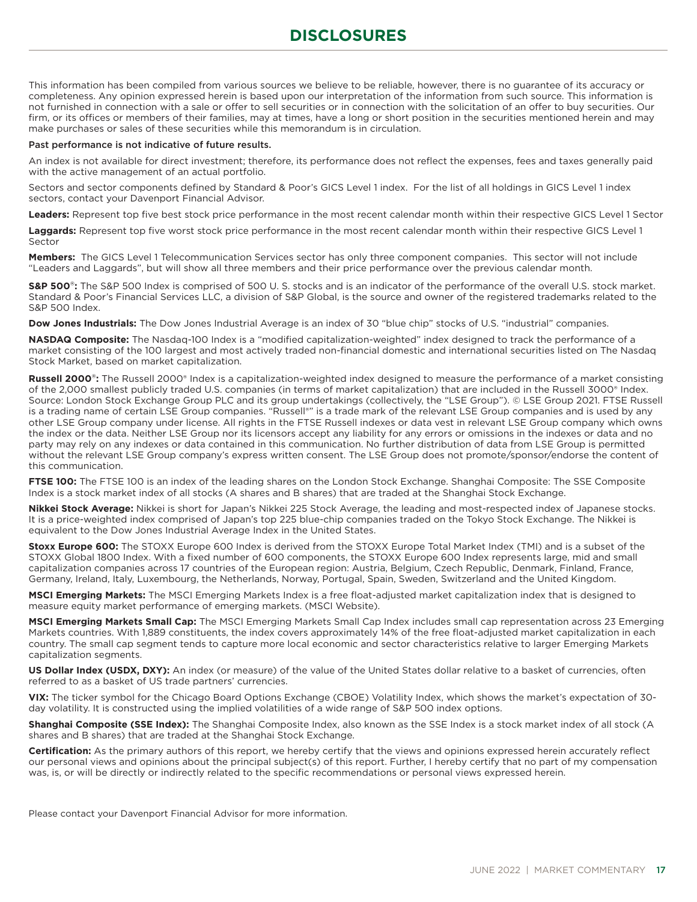# **DISCLOSURES**

This information has been compiled from various sources we believe to be reliable, however, there is no guarantee of its accuracy or completeness. Any opinion expressed herein is based upon our interpretation of the information from such source. This information is not furnished in connection with a sale or offer to sell securities or in connection with the solicitation of an offer to buy securities. Our firm, or its offices or members of their families, may at times, have a long or short position in the securities mentioned herein and may make purchases or sales of these securities while this memorandum is in circulation.

#### Past performance is not indicative of future results.

An index is not available for direct investment; therefore, its performance does not reflect the expenses, fees and taxes generally paid with the active management of an actual portfolio.

Sectors and sector components defined by Standard & Poor's GICS Level 1 index. For the list of all holdings in GICS Level 1 index sectors, contact your Davenport Financial Advisor.

**Leaders:** Represent top five best stock price performance in the most recent calendar month within their respective GICS Level 1 Sector

**Laggards:** Represent top five worst stock price performance in the most recent calendar month within their respective GICS Level 1 Sector

**Members:** The GICS Level 1 Telecommunication Services sector has only three component companies. This sector will not include "Leaders and Laggards", but will show all three members and their price performance over the previous calendar month.

**S&P 500**®**:** The S&P 500 Index is comprised of 500 U. S. stocks and is an indicator of the performance of the overall U.S. stock market. Standard & Poor's Financial Services LLC, a division of S&P Global, is the source and owner of the registered trademarks related to the S&P 500 Index.

**Dow Jones Industrials:** The Dow Jones Industrial Average is an index of 30 "blue chip" stocks of U.S. "industrial" companies.

**NASDAQ Composite:** The Nasdaq-100 Index is a "modified capitalization-weighted" index designed to track the performance of a market consisting of the 100 largest and most actively traded non-financial domestic and international securities listed on The Nasdaq Stock Market, based on market capitalization.

**Russell 2000**®**:** The Russell 2000® Index is a capitalization-weighted index designed to measure the performance of a market consisting of the 2,000 smallest publicly traded U.S. companies (in terms of market capitalization) that are included in the Russell 3000® Index. Source: London Stock Exchange Group PLC and its group undertakings (collectively, the "LSE Group"). © LSE Group 2021. FTSE Russell is a trading name of certain LSE Group companies. "Russell®" is a trade mark of the relevant LSE Group companies and is used by any other LSE Group company under license. All rights in the FTSE Russell indexes or data vest in relevant LSE Group company which owns the index or the data. Neither LSE Group nor its licensors accept any liability for any errors or omissions in the indexes or data and no party may rely on any indexes or data contained in this communication. No further distribution of data from LSE Group is permitted without the relevant LSE Group company's express written consent. The LSE Group does not promote/sponsor/endorse the content of this communication.

**FTSE 100:** The FTSE 100 is an index of the leading shares on the London Stock Exchange. Shanghai Composite: The SSE Composite Index is a stock market index of all stocks (A shares and B shares) that are traded at the Shanghai Stock Exchange.

**Nikkei Stock Average:** Nikkei is short for Japan's Nikkei 225 Stock Average, the leading and most-respected index of Japanese stocks. It is a price-weighted index comprised of Japan's top 225 blue-chip companies traded on the Tokyo Stock Exchange. The Nikkei is equivalent to the Dow Jones Industrial Average Index in the United States.

**Stoxx Europe 600:** The STOXX Europe 600 Index is derived from the STOXX Europe Total Market Index (TMI) and is a subset of the STOXX Global 1800 Index. With a fixed number of 600 components, the STOXX Europe 600 Index represents large, mid and small capitalization companies across 17 countries of the European region: Austria, Belgium, Czech Republic, Denmark, Finland, France, Germany, Ireland, Italy, Luxembourg, the Netherlands, Norway, Portugal, Spain, Sweden, Switzerland and the United Kingdom.

**MSCI Emerging Markets:** The MSCI Emerging Markets Index is a free float-adjusted market capitalization index that is designed to measure equity market performance of emerging markets. (MSCI Website).

**MSCI Emerging Markets Small Cap:** The MSCI Emerging Markets Small Cap Index includes small cap representation across 23 Emerging Markets countries. With 1,889 constituents, the index covers approximately 14% of the free float-adjusted market capitalization in each country. The small cap segment tends to capture more local economic and sector characteristics relative to larger Emerging Markets capitalization segments.

**US Dollar Index (USDX, DXY):** An index (or measure) of the value of the United States dollar relative to a basket of currencies, often referred to as a basket of US trade partners' currencies.

**VIX:** The ticker symbol for the Chicago Board Options Exchange (CBOE) Volatility Index, which shows the market's expectation of 30 day volatility. It is constructed using the implied volatilities of a wide range of S&P 500 index options.

**Shanghai Composite (SSE Index):** The Shanghai Composite Index, also known as the SSE Index is a stock market index of all stock (A shares and B shares) that are traded at the Shanghai Stock Exchange.

**Certification:** As the primary authors of this report, we hereby certify that the views and opinions expressed herein accurately reflect our personal views and opinions about the principal subject(s) of this report. Further, I hereby certify that no part of my compensation was, is, or will be directly or indirectly related to the specific recommendations or personal views expressed herein.

Please contact your Davenport Financial Advisor for more information.